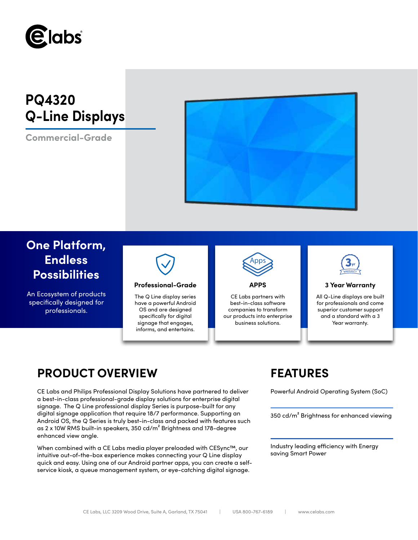

# **PQ4320 Q-Line Displays**

**Commercial-Grade**



# **One Platform, Endless Possibilities**

An Ecosystem of products specifically designed for professionals.



# **Professional-Grade APPS 3 Year Warranty**

The Q Line display series have a powerful Android OS and are designed specifically for digital signage that engages, informs, and entertains.



CE Labs partners with best-in-class software companies to transform our products into enterprise business solutions.



All Q-Line displays are built for professionals and come superior customer support and a standard with a 3 Year warranty.

# **PRODUCT OVERVIEW FEATURES**

CE Labs and Philips Professional Display Solutions have partnered to deliver Powerful Android Operating System (SoC) a best-in-class professional-grade display solutions for enterprise digital signage. The Q Line professional display Series is purpose-built for any digital signage application that require 18/7 performance. Supporting an Android OS, the Q Series is truly best-in-class and packed with features such as 2 x 10W RMS built-in speakers, 350 cd/m² Brightness and 178-degree enhanced view angle.

When combined with a CE Labs media player preloaded with CESync™, our intuitive out-of-the-box experience makes connecting your Q Line display quick and easy. Using one of our Android partner apps, you can create a selfservice kiosk, a queue management system, or eye-catching digital signage.

350 cd/m² Brightness for enhanced viewing

Industry leading efficiency with Energy saving Smart Power